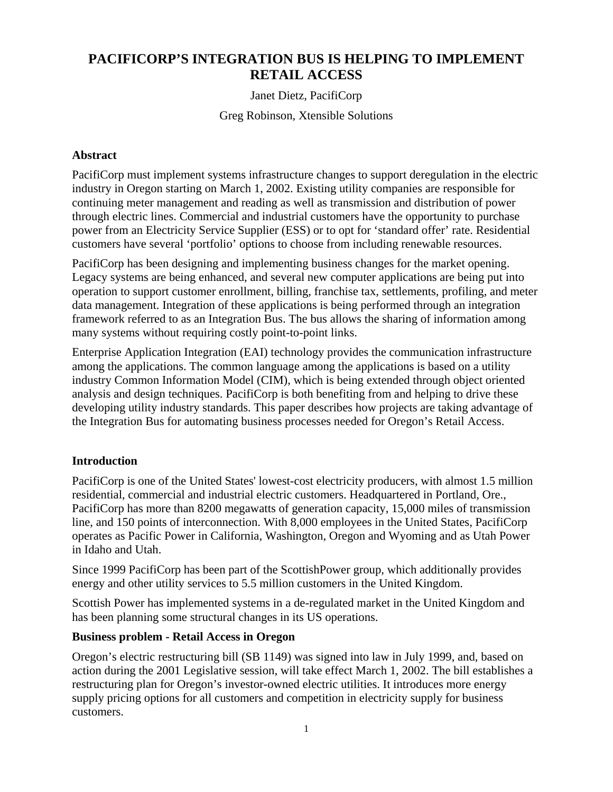# **PACIFICORP'S INTEGRATION BUS IS HELPING TO IMPLEMENT RETAIL ACCESS**

# Janet Dietz, PacifiCorp

Greg Robinson, Xtensible Solutions

## **Abstract**

PacifiCorp must implement systems infrastructure changes to support deregulation in the electric industry in Oregon starting on March 1, 2002. Existing utility companies are responsible for continuing meter management and reading as well as transmission and distribution of power through electric lines. Commercial and industrial customers have the opportunity to purchase power from an Electricity Service Supplier (ESS) or to opt for 'standard offer' rate. Residential customers have several 'portfolio' options to choose from including renewable resources.

PacifiCorp has been designing and implementing business changes for the market opening. Legacy systems are being enhanced, and several new computer applications are being put into operation to support customer enrollment, billing, franchise tax, settlements, profiling, and meter data management. Integration of these applications is being performed through an integration framework referred to as an Integration Bus. The bus allows the sharing of information among many systems without requiring costly point-to-point links.

Enterprise Application Integration (EAI) technology provides the communication infrastructure among the applications. The common language among the applications is based on a utility industry Common Information Model (CIM), which is being extended through object oriented analysis and design techniques. PacifiCorp is both benefiting from and helping to drive these developing utility industry standards. This paper describes how projects are taking advantage of the Integration Bus for automating business processes needed for Oregon's Retail Access.

## **Introduction**

PacifiCorp is one of the United States' lowest-cost electricity producers, with almost 1.5 million residential, commercial and industrial electric customers. Headquartered in Portland, Ore., PacifiCorp has more than 8200 megawatts of generation capacity, 15,000 miles of transmission line, and 150 points of interconnection. With 8,000 employees in the United States, PacifiCorp operates as Pacific Power in California, Washington, Oregon and Wyoming and as Utah Power in Idaho and Utah.

Since 1999 PacifiCorp has been part of the ScottishPower group, which additionally provides energy and other utility services to 5.5 million customers in the United Kingdom.

Scottish Power has implemented systems in a de-regulated market in the United Kingdom and has been planning some structural changes in its US operations.

## **Business problem - Retail Access in Oregon**

Oregon's electric restructuring bill (SB 1149) was signed into law in July 1999, and, based on action during the 2001 Legislative session, will take effect March 1, 2002. The bill establishes a restructuring plan for Oregon's investor-owned electric utilities. It introduces more energy supply pricing options for all customers and competition in electricity supply for business customers.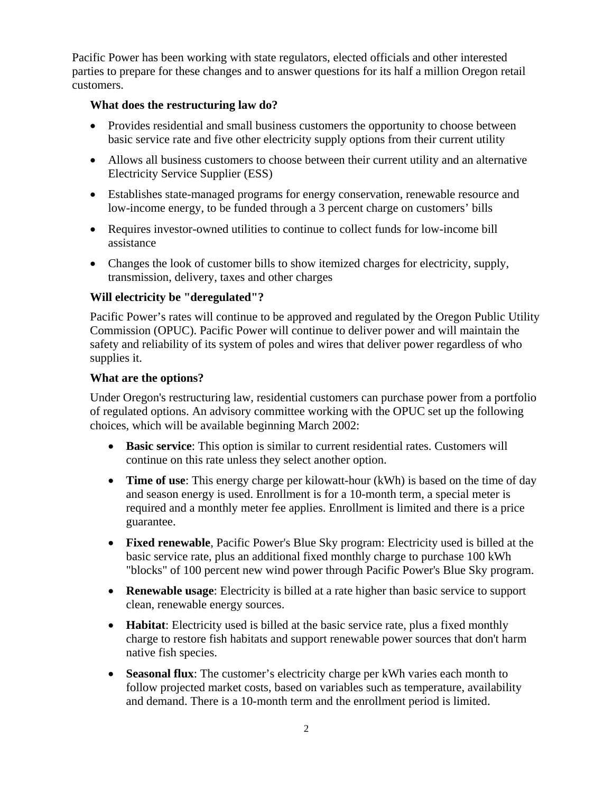Pacific Power has been working with state regulators, elected officials and other interested parties to prepare for these changes and to answer questions for its half a million Oregon retail customers.

# **What does the restructuring law do?**

- Provides residential and small business customers the opportunity to choose between basic service rate and five other electricity supply options from their current utility
- Allows all business customers to choose between their current utility and an alternative Electricity Service Supplier (ESS)
- Establishes state-managed programs for energy conservation, renewable resource and low-income energy, to be funded through a 3 percent charge on customers' bills
- Requires investor-owned utilities to continue to collect funds for low-income bill assistance
- Changes the look of customer bills to show itemized charges for electricity, supply, transmission, delivery, taxes and other charges

# **Will electricity be "deregulated"?**

Pacific Power's rates will continue to be approved and regulated by the Oregon Public Utility Commission (OPUC). Pacific Power will continue to deliver power and will maintain the safety and reliability of its system of poles and wires that deliver power regardless of who supplies it.

## **What are the options?**

Under Oregon's restructuring law, residential customers can purchase power from a portfolio of regulated options. An advisory committee working with the OPUC set up the following choices, which will be available beginning March 2002:

- **Basic service**: This option is similar to current residential rates. Customers will continue on this rate unless they select another option.
- **Time of use**: This energy charge per kilowatt-hour (kWh) is based on the time of day and season energy is used. Enrollment is for a 10-month term, a special meter is required and a monthly meter fee applies. Enrollment is limited and there is a price guarantee.
- **Fixed renewable**, Pacific Power's Blue Sky program: Electricity used is billed at the basic service rate, plus an additional fixed monthly charge to purchase 100 kWh "blocks" of 100 percent new wind power through Pacific Power's Blue Sky program.
- **Renewable usage**: Electricity is billed at a rate higher than basic service to support clean, renewable energy sources.
- **Habitat:** Electricity used is billed at the basic service rate, plus a fixed monthly charge to restore fish habitats and support renewable power sources that don't harm native fish species.
- **Seasonal flux**: The customer's electricity charge per kWh varies each month to follow projected market costs, based on variables such as temperature, availability and demand. There is a 10-month term and the enrollment period is limited.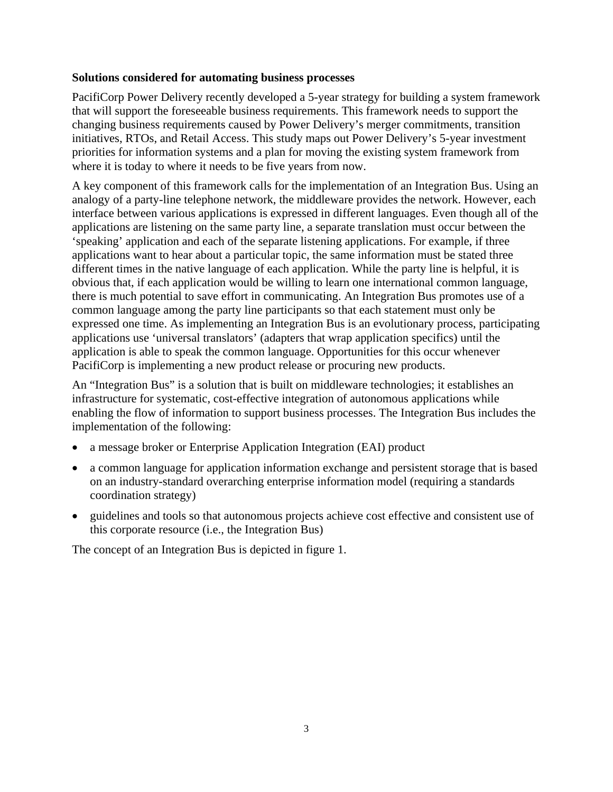## **Solutions considered for automating business processes**

PacifiCorp Power Delivery recently developed a 5-year strategy for building a system framework that will support the foreseeable business requirements. This framework needs to support the changing business requirements caused by Power Delivery's merger commitments, transition initiatives, RTOs, and Retail Access. This study maps out Power Delivery's 5-year investment priorities for information systems and a plan for moving the existing system framework from where it is today to where it needs to be five years from now.

A key component of this framework calls for the implementation of an Integration Bus. Using an analogy of a party-line telephone network, the middleware provides the network. However, each interface between various applications is expressed in different languages. Even though all of the applications are listening on the same party line, a separate translation must occur between the 'speaking' application and each of the separate listening applications. For example, if three applications want to hear about a particular topic, the same information must be stated three different times in the native language of each application. While the party line is helpful, it is obvious that, if each application would be willing to learn one international common language, there is much potential to save effort in communicating. An Integration Bus promotes use of a common language among the party line participants so that each statement must only be expressed one time. As implementing an Integration Bus is an evolutionary process, participating applications use 'universal translators' (adapters that wrap application specifics) until the application is able to speak the common language. Opportunities for this occur whenever PacifiCorp is implementing a new product release or procuring new products.

An "Integration Bus" is a solution that is built on middleware technologies; it establishes an infrastructure for systematic, cost-effective integration of autonomous applications while enabling the flow of information to support business processes. The Integration Bus includes the implementation of the following:

- a message broker or Enterprise Application Integration (EAI) product
- a common language for application information exchange and persistent storage that is based on an industry-standard overarching enterprise information model (requiring a standards coordination strategy)
- guidelines and tools so that autonomous projects achieve cost effective and consistent use of this corporate resource (i.e., the Integration Bus)

The concept of an Integration Bus is depicted in figure 1.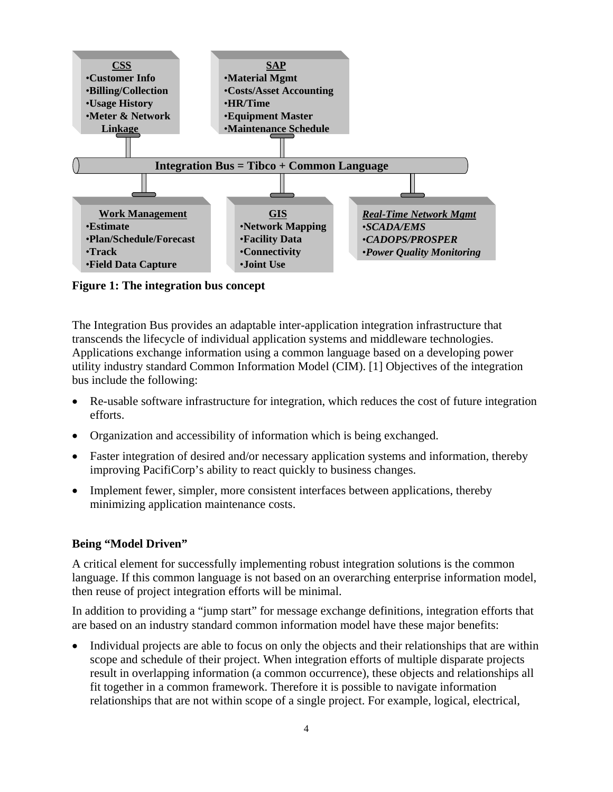

**Figure 1: The integration bus concept** 

The Integration Bus provides an adaptable inter-application integration infrastructure that transcends the lifecycle of individual application systems and middleware technologies. Applications exchange information using a common language based on a developing power utility industry standard Common Information Model (CIM). [1] Objectives of the integration bus include the following:

- Re-usable software infrastructure for integration, which reduces the cost of future integration efforts.
- Organization and accessibility of information which is being exchanged.
- Faster integration of desired and/or necessary application systems and information, thereby improving PacifiCorp's ability to react quickly to business changes.
- Implement fewer, simpler, more consistent interfaces between applications, thereby minimizing application maintenance costs.

## **Being "Model Driven"**

A critical element for successfully implementing robust integration solutions is the common language. If this common language is not based on an overarching enterprise information model, then reuse of project integration efforts will be minimal.

In addition to providing a "jump start" for message exchange definitions, integration efforts that are based on an industry standard common information model have these major benefits:

• Individual projects are able to focus on only the objects and their relationships that are within scope and schedule of their project. When integration efforts of multiple disparate projects result in overlapping information (a common occurrence), these objects and relationships all fit together in a common framework. Therefore it is possible to navigate information relationships that are not within scope of a single project. For example, logical, electrical,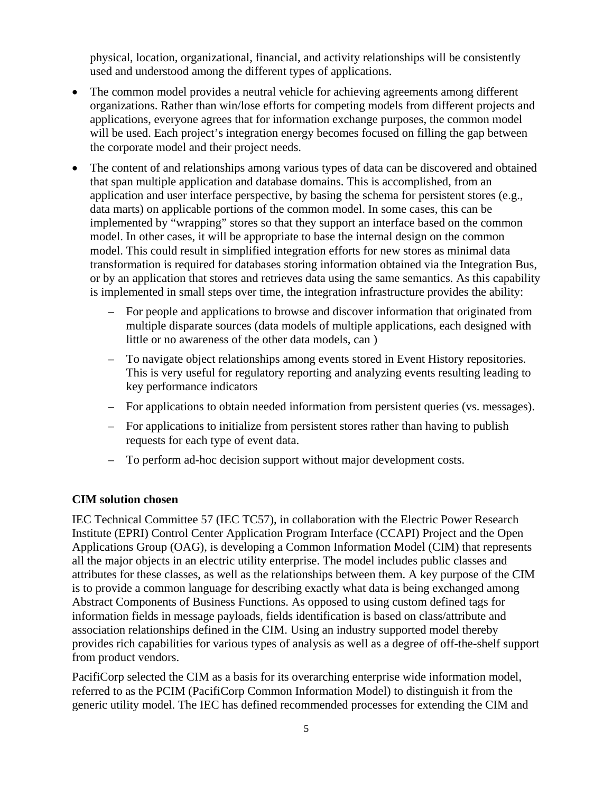physical, location, organizational, financial, and activity relationships will be consistently used and understood among the different types of applications.

- The common model provides a neutral vehicle for achieving agreements among different organizations. Rather than win/lose efforts for competing models from different projects and applications, everyone agrees that for information exchange purposes, the common model will be used. Each project's integration energy becomes focused on filling the gap between the corporate model and their project needs.
- The content of and relationships among various types of data can be discovered and obtained that span multiple application and database domains. This is accomplished, from an application and user interface perspective, by basing the schema for persistent stores (e.g., data marts) on applicable portions of the common model. In some cases, this can be implemented by "wrapping" stores so that they support an interface based on the common model. In other cases, it will be appropriate to base the internal design on the common model. This could result in simplified integration efforts for new stores as minimal data transformation is required for databases storing information obtained via the Integration Bus, or by an application that stores and retrieves data using the same semantics. As this capability is implemented in small steps over time, the integration infrastructure provides the ability:
	- For people and applications to browse and discover information that originated from multiple disparate sources (data models of multiple applications, each designed with little or no awareness of the other data models, can )
	- To navigate object relationships among events stored in Event History repositories. This is very useful for regulatory reporting and analyzing events resulting leading to key performance indicators
	- For applications to obtain needed information from persistent queries (vs. messages).
	- For applications to initialize from persistent stores rather than having to publish requests for each type of event data.
	- To perform ad-hoc decision support without major development costs.

#### **CIM solution chosen**

IEC Technical Committee 57 (IEC TC57), in collaboration with the Electric Power Research Institute (EPRI) Control Center Application Program Interface (CCAPI) Project and the Open Applications Group (OAG), is developing a Common Information Model (CIM) that represents all the major objects in an electric utility enterprise. The model includes public classes and attributes for these classes, as well as the relationships between them. A key purpose of the CIM is to provide a common language for describing exactly what data is being exchanged among Abstract Components of Business Functions. As opposed to using custom defined tags for information fields in message payloads, fields identification is based on class/attribute and association relationships defined in the CIM. Using an industry supported model thereby provides rich capabilities for various types of analysis as well as a degree of off-the-shelf support from product vendors.

PacifiCorp selected the CIM as a basis for its overarching enterprise wide information model, referred to as the PCIM (PacifiCorp Common Information Model) to distinguish it from the generic utility model. The IEC has defined recommended processes for extending the CIM and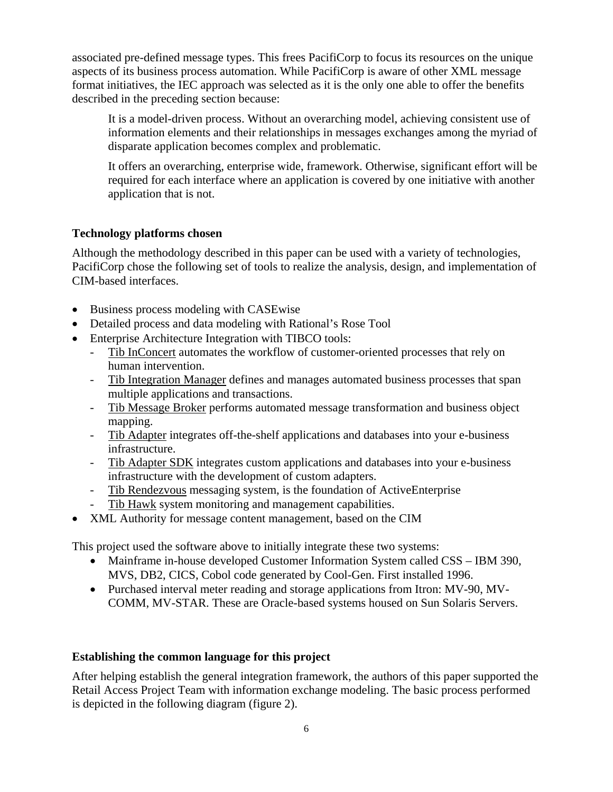associated pre-defined message types. This frees PacifiCorp to focus its resources on the unique aspects of its business process automation. While PacifiCorp is aware of other XML message format initiatives, the IEC approach was selected as it is the only one able to offer the benefits described in the preceding section because:

It is a model-driven process. Without an overarching model, achieving consistent use of information elements and their relationships in messages exchanges among the myriad of disparate application becomes complex and problematic.

It offers an overarching, enterprise wide, framework. Otherwise, significant effort will be required for each interface where an application is covered by one initiative with another application that is not.

# **Technology platforms chosen**

Although the methodology described in this paper can be used with a variety of technologies, PacifiCorp chose the following set of tools to realize the analysis, design, and implementation of CIM-based interfaces.

- Business process modeling with CASEwise
- Detailed process and data modeling with Rational's Rose Tool
- Enterprise Architecture Integration with TIBCO tools:
	- Tib InConcert automates the workflow of customer-oriented processes that rely on human intervention.
	- Tib Integration Manager defines and manages automated business processes that span multiple applications and transactions.
	- Tib Message Broker performs automated message transformation and business object mapping.
	- Tib Adapter integrates off-the-shelf applications and databases into your e-business infrastructure.
	- Tib Adapter SDK integrates custom applications and databases into your e-business infrastructure with the development of custom adapters.
	- Tib Rendezvous messaging system, is the foundation of ActiveEnterprise
	- Tib Hawk system monitoring and management capabilities.
- XML Authority for message content management, based on the CIM

This project used the software above to initially integrate these two systems:

- Mainframe in-house developed Customer Information System called CSS IBM 390, MVS, DB2, CICS, Cobol code generated by Cool-Gen. First installed 1996.
- Purchased interval meter reading and storage applications from Itron: MV-90, MV-COMM, MV-STAR. These are Oracle-based systems housed on Sun Solaris Servers.

## **Establishing the common language for this project**

After helping establish the general integration framework, the authors of this paper supported the Retail Access Project Team with information exchange modeling. The basic process performed is depicted in the following diagram (figure 2).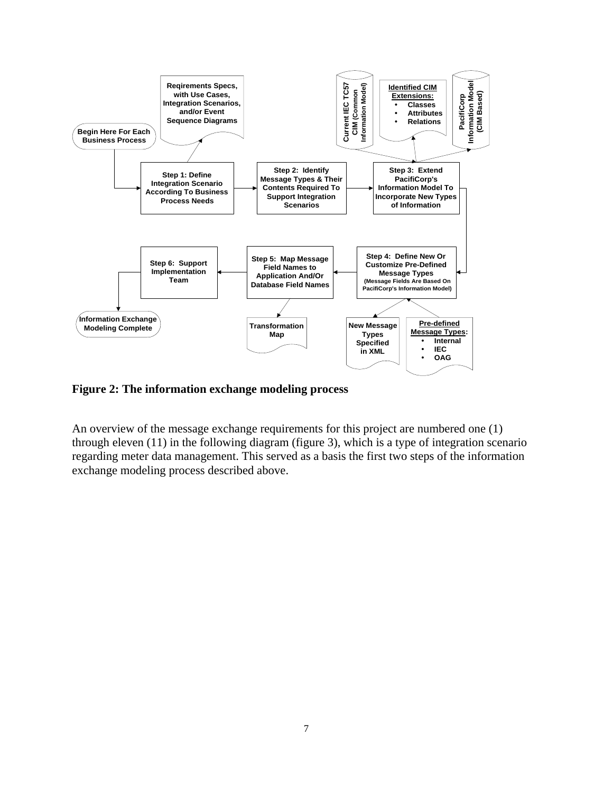

**Figure 2: The information exchange modeling process**

An overview of the message exchange requirements for this project are numbered one (1) through eleven (11) in the following diagram (figure 3), which is a type of integration scenario regarding meter data management. This served as a basis the first two steps of the information exchange modeling process described above.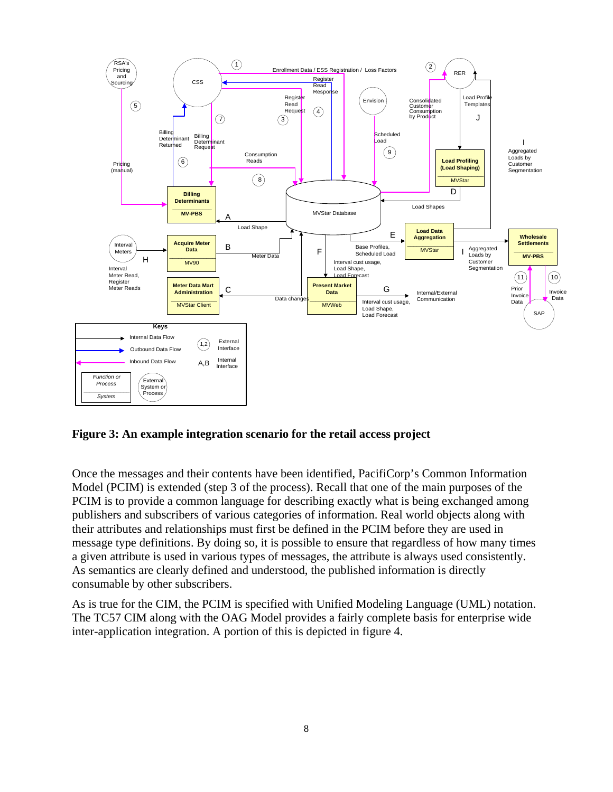

# **Figure 3: An example integration scenario for the retail access project**

Once the messages and their contents have been identified, PacifiCorp's Common Information Model (PCIM) is extended (step 3 of the process). Recall that one of the main purposes of the PCIM is to provide a common language for describing exactly what is being exchanged among publishers and subscribers of various categories of information. Real world objects along with their attributes and relationships must first be defined in the PCIM before they are used in message type definitions. By doing so, it is possible to ensure that regardless of how many times a given attribute is used in various types of messages, the attribute is always used consistently. As semantics are clearly defined and understood, the published information is directly consumable by other subscribers.

As is true for the CIM, the PCIM is specified with Unified Modeling Language (UML) notation. The TC57 CIM along with the OAG Model provides a fairly complete basis for enterprise wide inter-application integration. A portion of this is depicted in figure 4.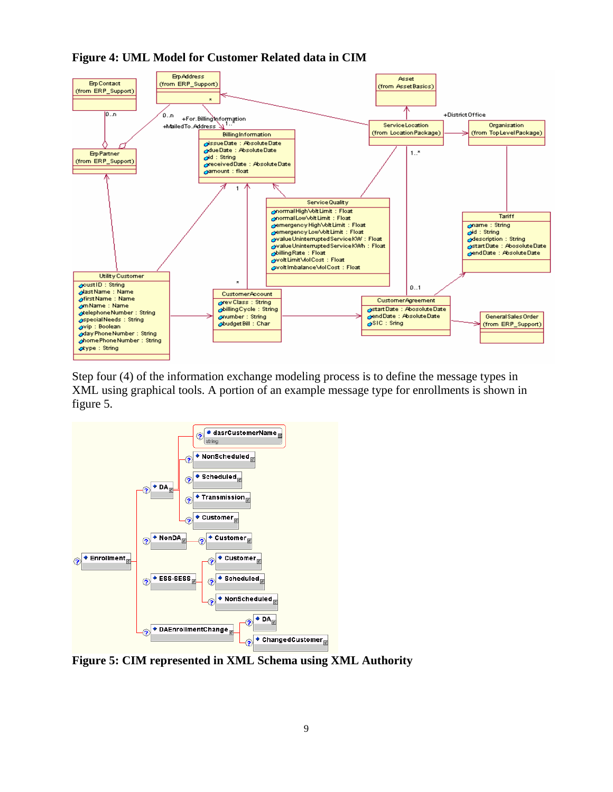

**Figure 4: UML Model for Customer Related data in CIM** 

Step four (4) of the information exchange modeling process is to define the message types in XML using graphical tools. A portion of an example message type for enrollments is shown in figure 5.



**Figure 5: CIM represented in XML Schema using XML Authority**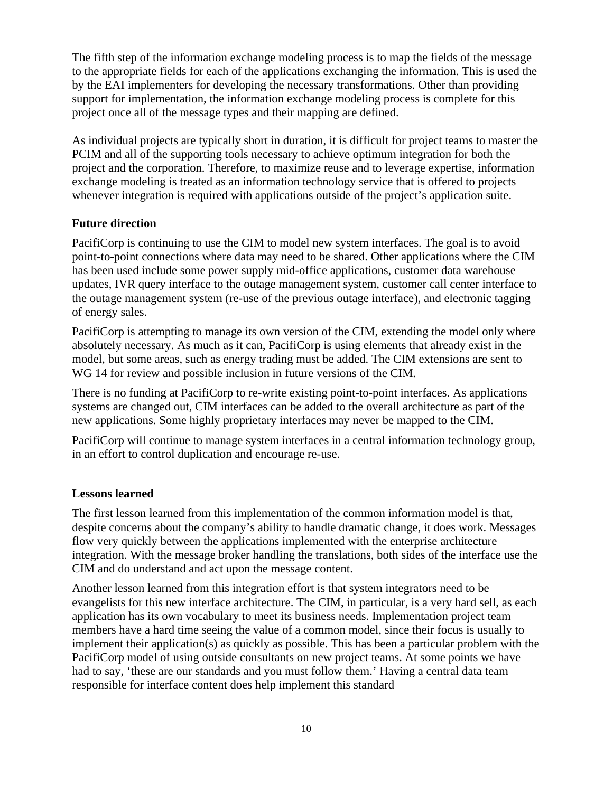The fifth step of the information exchange modeling process is to map the fields of the message to the appropriate fields for each of the applications exchanging the information. This is used the by the EAI implementers for developing the necessary transformations. Other than providing support for implementation, the information exchange modeling process is complete for this project once all of the message types and their mapping are defined.

As individual projects are typically short in duration, it is difficult for project teams to master the PCIM and all of the supporting tools necessary to achieve optimum integration for both the project and the corporation. Therefore, to maximize reuse and to leverage expertise, information exchange modeling is treated as an information technology service that is offered to projects whenever integration is required with applications outside of the project's application suite.

#### **Future direction**

PacifiCorp is continuing to use the CIM to model new system interfaces. The goal is to avoid point-to-point connections where data may need to be shared. Other applications where the CIM has been used include some power supply mid-office applications, customer data warehouse updates, IVR query interface to the outage management system, customer call center interface to the outage management system (re-use of the previous outage interface), and electronic tagging of energy sales.

PacifiCorp is attempting to manage its own version of the CIM, extending the model only where absolutely necessary. As much as it can, PacifiCorp is using elements that already exist in the model, but some areas, such as energy trading must be added. The CIM extensions are sent to WG 14 for review and possible inclusion in future versions of the CIM.

There is no funding at PacifiCorp to re-write existing point-to-point interfaces. As applications systems are changed out, CIM interfaces can be added to the overall architecture as part of the new applications. Some highly proprietary interfaces may never be mapped to the CIM.

PacifiCorp will continue to manage system interfaces in a central information technology group, in an effort to control duplication and encourage re-use.

#### **Lessons learned**

The first lesson learned from this implementation of the common information model is that, despite concerns about the company's ability to handle dramatic change, it does work. Messages flow very quickly between the applications implemented with the enterprise architecture integration. With the message broker handling the translations, both sides of the interface use the CIM and do understand and act upon the message content.

Another lesson learned from this integration effort is that system integrators need to be evangelists for this new interface architecture. The CIM, in particular, is a very hard sell, as each application has its own vocabulary to meet its business needs. Implementation project team members have a hard time seeing the value of a common model, since their focus is usually to implement their application(s) as quickly as possible. This has been a particular problem with the PacifiCorp model of using outside consultants on new project teams. At some points we have had to say, 'these are our standards and you must follow them.' Having a central data team responsible for interface content does help implement this standard